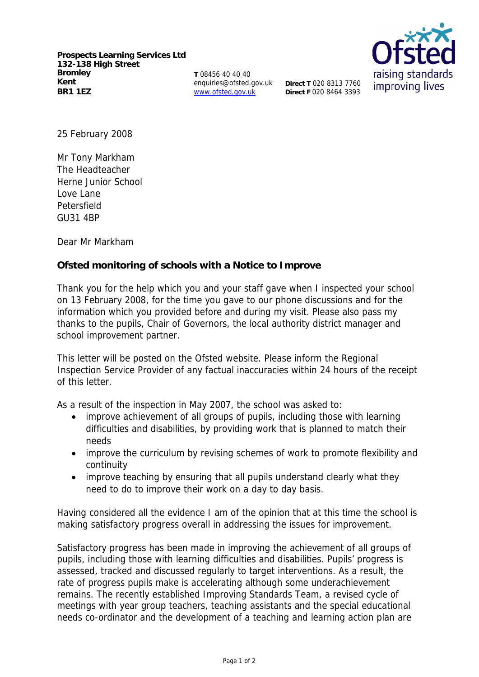**Prospects Learning Services Ltd 132-138 High Street Bromley Kent BR1 1EZ**

**T** 08456 40 40 40 enquiries@ofsted.gov.uk www.ofsted.gov.uk

**Direct T** 020 8313 7760 **Direct F** 020 8464 3393



25 February 2008

Mr Tony Markham The Headteacher Herne Junior School Love Lane Petersfield GU31 4BP

Dear Mr Markham

**Ofsted monitoring of schools with a Notice to Improve**

Thank you for the help which you and your staff gave when I inspected your school on 13 February 2008, for the time you gave to our phone discussions and for the information which you provided before and during my visit. Please also pass my thanks to the pupils, Chair of Governors, the local authority district manager and school improvement partner.

This letter will be posted on the Ofsted website. Please inform the Regional Inspection Service Provider of any factual inaccuracies within 24 hours of the receipt of this letter.

As a result of the inspection in May 2007, the school was asked to:

- improve achievement of all groups of pupils, including those with learning difficulties and disabilities, by providing work that is planned to match their needs
- improve the curriculum by revising schemes of work to promote flexibility and continuity
- improve teaching by ensuring that all pupils understand clearly what they need to do to improve their work on a day to day basis.

Having considered all the evidence I am of the opinion that at this time the school is making satisfactory progress overall in addressing the issues for improvement.

Satisfactory progress has been made in improving the achievement of all groups of pupils, including those with learning difficulties and disabilities. Pupils' progress is assessed, tracked and discussed regularly to target interventions. As a result, the rate of progress pupils make is accelerating although some underachievement remains. The recently established Improving Standards Team, a revised cycle of meetings with year group teachers, teaching assistants and the special educational needs co-ordinator and the development of a teaching and learning action plan are